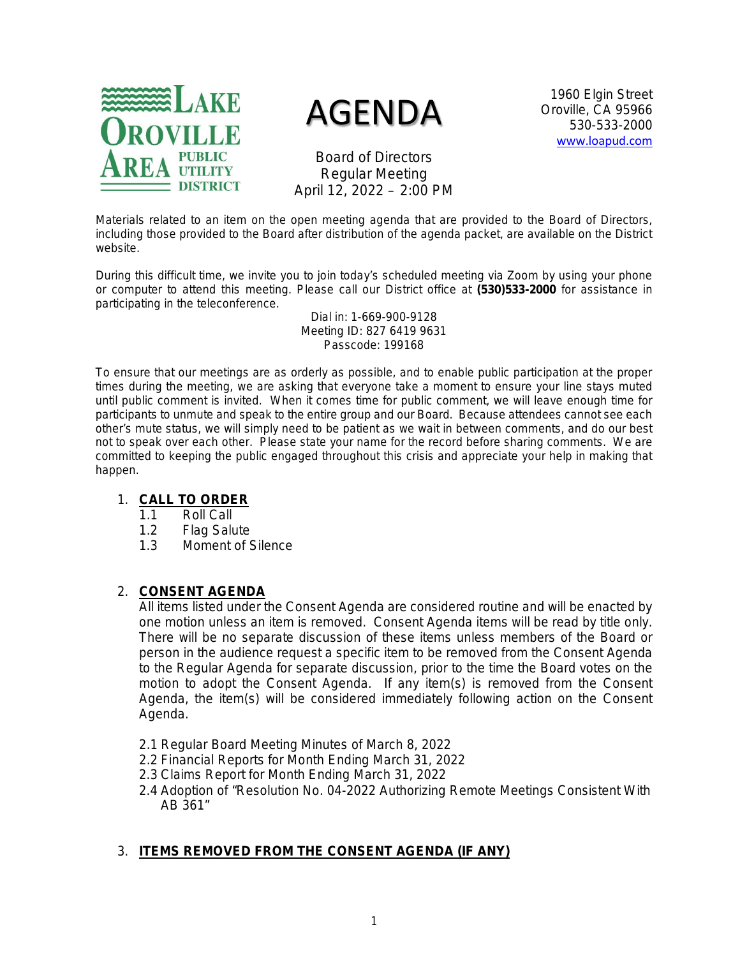

# AGENDA

1960 Elgin Street Oroville, CA 95966 530-533-2000 [www.loapud.com](http://www.loapud.com/)

Board of Directors Regular Meeting April 12, 2022 – 2:00 PM

Materials related to an item on the open meeting agenda that are provided to the Board of Directors, including those provided to the Board after distribution of the agenda packet, are available on the District website.

During this difficult time, we invite you to join today's scheduled meeting via Zoom by using your phone or computer to attend this meeting. Please call our District office at **(530)533-2000** for assistance in participating in the teleconference.

> Dial in: 1-669-900-9128 Meeting ID: 827 6419 9631 Passcode: 199168

To ensure that our meetings are as orderly as possible, and to enable public participation at the proper times during the meeting, we are asking that everyone take a moment to ensure your line stays muted until public comment is invited. When it comes time for public comment, we will leave enough time for participants to unmute and speak to the entire group and our Board. Because attendees cannot see each other's mute status, we will simply need to be patient as we wait in between comments, and do our best not to speak over each other. Please state your name for the record before sharing comments. We are committed to keeping the public engaged throughout this crisis and appreciate your help in making that happen.

## 1. **CALL TO ORDER**

- 1.1 Roll Call
- 1.2 Flag Salute
- 1.3 Moment of Silence

# 2. **CONSENT AGENDA**

All items listed under the Consent Agenda are considered routine and will be enacted by one motion unless an item is removed. Consent Agenda items will be read by title only. There will be no separate discussion of these items unless members of the Board or person in the audience request a specific item to be removed from the Consent Agenda to the Regular Agenda for separate discussion, prior to the time the Board votes on the motion to adopt the Consent Agenda. If any item(s) is removed from the Consent Agenda, the item(s) will be considered immediately following action on the Consent Agenda.

- 2.1 Regular Board Meeting Minutes of March 8, 2022
- 2.2 Financial Reports for Month Ending March 31, 2022
- 2.3 Claims Report for Month Ending March 31, 2022
- 2.4 Adoption of "Resolution No. 04-2022 Authorizing Remote Meetings Consistent With AB 361"

# 3. **ITEMS REMOVED FROM THE CONSENT AGENDA (IF ANY)**